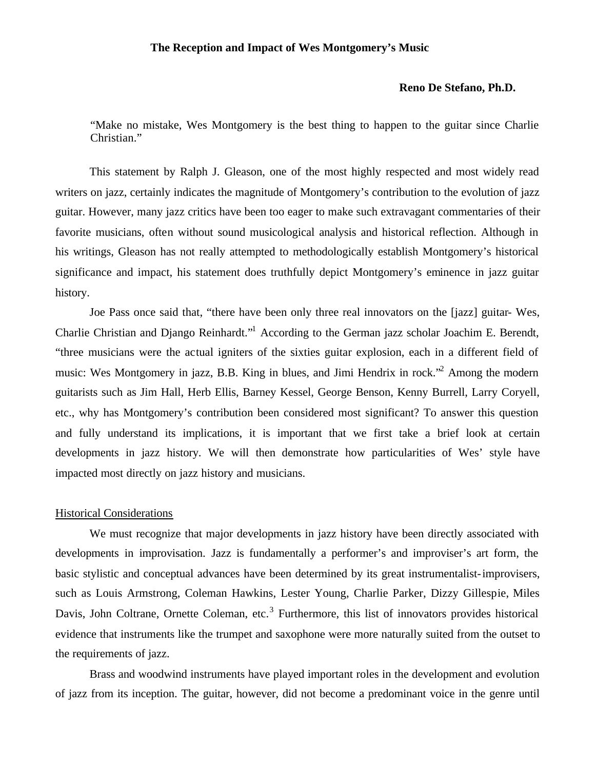## **The Reception and Impact of Wes Montgomery's Music**

## **Reno De Stefano, Ph.D.**

"Make no mistake, Wes Montgomery is the best thing to happen to the guitar since Charlie Christian."

This statement by Ralph J. Gleason, one of the most highly respected and most widely read writers on jazz, certainly indicates the magnitude of Montgomery's contribution to the evolution of jazz guitar. However, many jazz critics have been too eager to make such extravagant commentaries of their favorite musicians, often without sound musicological analysis and historical reflection. Although in his writings, Gleason has not really attempted to methodologically establish Montgomery's historical significance and impact, his statement does truthfully depict Montgomery's eminence in jazz guitar history.

Joe Pass once said that, "there have been only three real innovators on the [jazz] guitar- Wes, Charlie Christian and Django Reinhardt."<sup>1</sup> According to the German jazz scholar Joachim E. Berendt, "three musicians were the actual igniters of the sixties guitar explosion, each in a different field of music: Wes Montgomery in jazz, B.B. King in blues, and Jimi Hendrix in rock."<sup>2</sup> Among the modern guitarists such as Jim Hall, Herb Ellis, Barney Kessel, George Benson, Kenny Burrell, Larry Coryell, etc., why has Montgomery's contribution been considered most significant? To answer this question and fully understand its implications, it is important that we first take a brief look at certain developments in jazz history. We will then demonstrate how particularities of Wes' style have impacted most directly on jazz history and musicians.

#### Historical Considerations

We must recognize that major developments in jazz history have been directly associated with developments in improvisation. Jazz is fundamentally a performer's and improviser's art form, the basic stylistic and conceptual advances have been determined by its great instrumentalist-improvisers, such as Louis Armstrong, Coleman Hawkins, Lester Young, Charlie Parker, Dizzy Gillespie, Miles Davis, John Coltrane, Ornette Coleman, etc.<sup>3</sup> Furthermore, this list of innovators provides historical evidence that instruments like the trumpet and saxophone were more naturally suited from the outset to the requirements of jazz.

Brass and woodwind instruments have played important roles in the development and evolution of jazz from its inception. The guitar, however, did not become a predominant voice in the genre until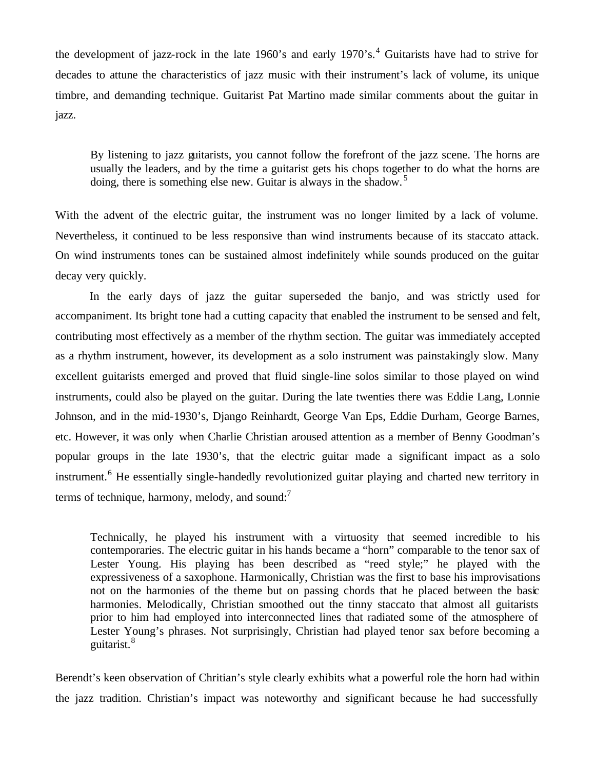the development of jazz-rock in the late 1960's and early  $1970$ 's.<sup>4</sup> Guitarists have had to strive for decades to attune the characteristics of jazz music with their instrument's lack of volume, its unique timbre, and demanding technique. Guitarist Pat Martino made similar comments about the guitar in jazz.

By listening to jazz guitarists, you cannot follow the forefront of the jazz scene. The horns are usually the leaders, and by the time a guitarist gets his chops together to do what the horns are doing, there is something else new. Guitar is always in the shadow.<sup>5</sup>

With the advent of the electric guitar, the instrument was no longer limited by a lack of volume. Nevertheless, it continued to be less responsive than wind instruments because of its staccato attack. On wind instruments tones can be sustained almost indefinitely while sounds produced on the guitar decay very quickly.

In the early days of jazz the guitar superseded the banjo, and was strictly used for accompaniment. Its bright tone had a cutting capacity that enabled the instrument to be sensed and felt, contributing most effectively as a member of the rhythm section. The guitar was immediately accepted as a rhythm instrument, however, its development as a solo instrument was painstakingly slow. Many excellent guitarists emerged and proved that fluid single-line solos similar to those played on wind instruments, could also be played on the guitar. During the late twenties there was Eddie Lang, Lonnie Johnson, and in the mid-1930's, Django Reinhardt, George Van Eps, Eddie Durham, George Barnes, etc. However, it was only when Charlie Christian aroused attention as a member of Benny Goodman's popular groups in the late 1930's, that the electric guitar made a significant impact as a solo instrument.<sup>6</sup> He essentially single-handedly revolutionized guitar playing and charted new territory in terms of technique, harmony, melody, and sound: $<sup>7</sup>$ </sup>

Technically, he played his instrument with a virtuosity that seemed incredible to his contemporaries. The electric guitar in his hands became a "horn" comparable to the tenor sax of Lester Young. His playing has been described as "reed style;" he played with the expressiveness of a saxophone. Harmonically, Christian was the first to base his improvisations not on the harmonies of the theme but on passing chords that he placed between the basic harmonies. Melodically, Christian smoothed out the tinny staccato that almost all guitarists prior to him had employed into interconnected lines that radiated some of the atmosphere of Lester Young's phrases. Not surprisingly, Christian had played tenor sax before becoming a guitarist.<sup>8</sup>

Berendt's keen observation of Chritian's style clearly exhibits what a powerful role the horn had within the jazz tradition. Christian's impact was noteworthy and significant because he had successfully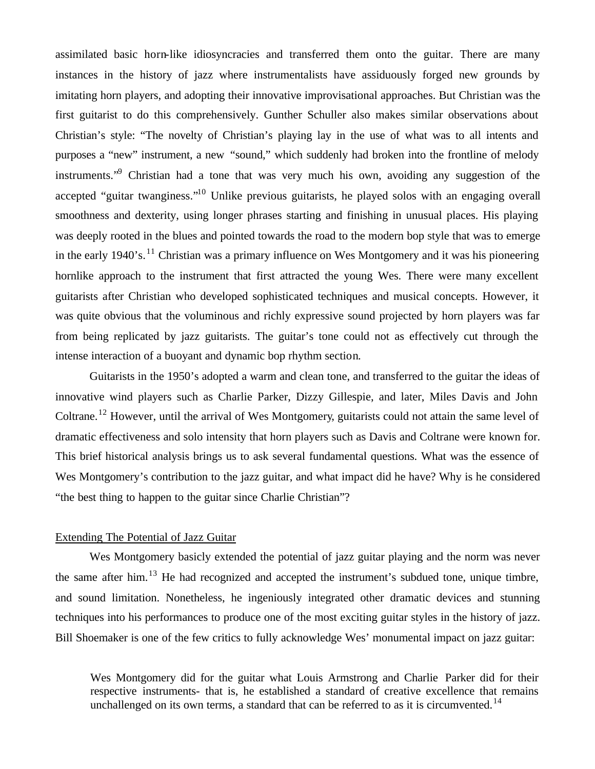assimilated basic horn-like idiosyncracies and transferred them onto the guitar. There are many instances in the history of jazz where instrumentalists have assiduously forged new grounds by imitating horn players, and adopting their innovative improvisational approaches. But Christian was the first guitarist to do this comprehensively. Gunther Schuller also makes similar observations about Christian's style: "The novelty of Christian's playing lay in the use of what was to all intents and purposes a "new" instrument, a new "sound," which suddenly had broken into the frontline of melody instruments."<sup>9</sup> Christian had a tone that was very much his own, avoiding any suggestion of the accepted "guitar twanginess."<sup>10</sup> Unlike previous guitarists, he played solos with an engaging overall smoothness and dexterity, using longer phrases starting and finishing in unusual places. His playing was deeply rooted in the blues and pointed towards the road to the modern bop style that was to emerge in the early  $1940$ 's.<sup>11</sup> Christian was a primary influence on Wes Montgomery and it was his pioneering hornlike approach to the instrument that first attracted the young Wes. There were many excellent guitarists after Christian who developed sophisticated techniques and musical concepts. However, it was quite obvious that the voluminous and richly expressive sound projected by horn players was far from being replicated by jazz guitarists. The guitar's tone could not as effectively cut through the intense interaction of a buoyant and dynamic bop rhythm section.

Guitarists in the 1950's adopted a warm and clean tone, and transferred to the guitar the ideas of innovative wind players such as Charlie Parker, Dizzy Gillespie, and later, Miles Davis and John Coltrane.<sup>12</sup> However, until the arrival of Wes Montgomery, guitarists could not attain the same level of dramatic effectiveness and solo intensity that horn players such as Davis and Coltrane were known for. This brief historical analysis brings us to ask several fundamental questions. What was the essence of Wes Montgomery's contribution to the jazz guitar, and what impact did he have? Why is he considered "the best thing to happen to the guitar since Charlie Christian"?

### Extending The Potential of Jazz Guitar

Wes Montgomery basicly extended the potential of jazz guitar playing and the norm was never the same after him. $^{13}$  He had recognized and accepted the instrument's subdued tone, unique timbre, and sound limitation. Nonetheless, he ingeniously integrated other dramatic devices and stunning techniques into his performances to produce one of the most exciting guitar styles in the history of jazz. Bill Shoemaker is one of the few critics to fully acknowledge Wes' monumental impact on jazz guitar:

Wes Montgomery did for the guitar what Louis Armstrong and Charlie Parker did for their respective instruments- that is, he established a standard of creative excellence that remains unchallenged on its own terms, a standard that can be referred to as it is circumvented.<sup>14</sup>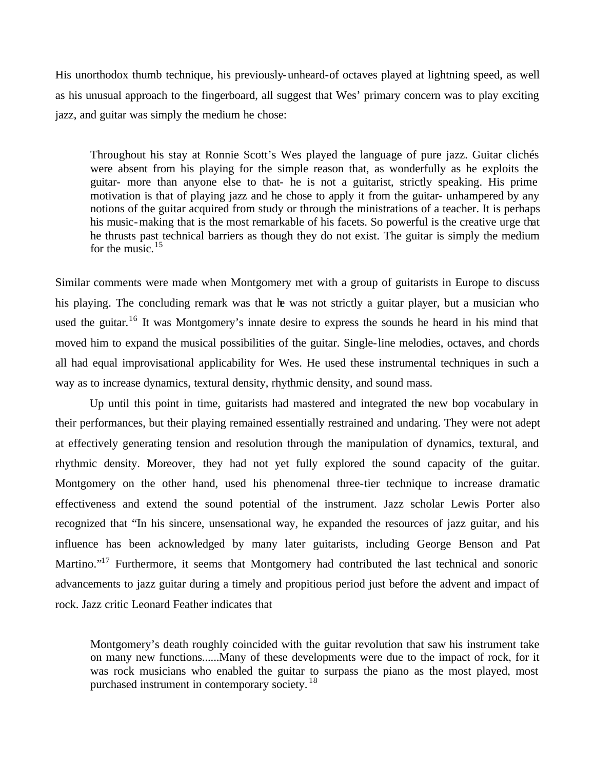His unorthodox thumb technique, his previously-unheard-of octaves played at lightning speed, as well as his unusual approach to the fingerboard, all suggest that Wes' primary concern was to play exciting jazz, and guitar was simply the medium he chose:

Throughout his stay at Ronnie Scott's Wes played the language of pure jazz. Guitar clichés were absent from his playing for the simple reason that, as wonderfully as he exploits the guitar- more than anyone else to that- he is not a guitarist, strictly speaking. His prime motivation is that of playing jazz and he chose to apply it from the guitar- unhampered by any notions of the guitar acquired from study or through the ministrations of a teacher. It is perhaps his music-making that is the most remarkable of his facets. So powerful is the creative urge that he thrusts past technical barriers as though they do not exist. The guitar is simply the medium for the music. $15$ 

Similar comments were made when Montgomery met with a group of guitarists in Europe to discuss his playing. The concluding remark was that he was not strictly a guitar player, but a musician who used the guitar.<sup>16</sup> It was Montgomery's innate desire to express the sounds he heard in his mind that moved him to expand the musical possibilities of the guitar. Single-line melodies, octaves, and chords all had equal improvisational applicability for Wes. He used these instrumental techniques in such a way as to increase dynamics, textural density, rhythmic density, and sound mass.

Up until this point in time, guitarists had mastered and integrated the new bop vocabulary in their performances, but their playing remained essentially restrained and undaring. They were not adept at effectively generating tension and resolution through the manipulation of dynamics, textural, and rhythmic density. Moreover, they had not yet fully explored the sound capacity of the guitar. Montgomery on the other hand, used his phenomenal three-tier technique to increase dramatic effectiveness and extend the sound potential of the instrument. Jazz scholar Lewis Porter also recognized that "In his sincere, unsensational way, he expanded the resources of jazz guitar, and his influence has been acknowledged by many later guitarists, including George Benson and Pat Martino."<sup>17</sup> Furthermore, it seems that Montgomery had contributed the last technical and sonoric advancements to jazz guitar during a timely and propitious period just before the advent and impact of rock. Jazz critic Leonard Feather indicates that

Montgomery's death roughly coincided with the guitar revolution that saw his instrument take on many new functions......Many of these developments were due to the impact of rock, for it was rock musicians who enabled the guitar to surpass the piano as the most played, most purchased instrument in contemporary society.<sup>18</sup>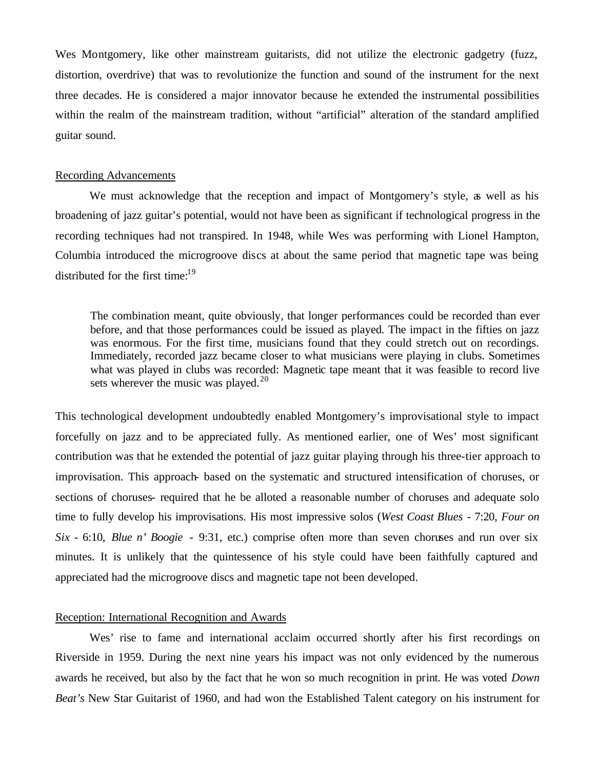Wes Montgomery, like other mainstream guitarists, did not utilize the electronic gadgetry (fuzz, distortion, overdrive) that was to revolutionize the function and sound of the instrument for the next three decades. He is considered a major innovator because he extended the instrumental possibilities within the realm of the mainstream tradition, without "artificial" alteration of the standard amplified guitar sound.

### Recording Advancements

We must acknowledge that the reception and impact of Montgomery's style, as well as his broadening of jazz guitar's potential, would not have been as significant if technological progress in the recording techniques had not transpired. In 1948, while Wes was performing with Lionel Hampton, Columbia introduced the microgroove discs at about the same period that magnetic tape was being distributed for the first time: $19$ 

The combination meant, quite obviously, that longer performances could be recorded than ever before, and that those performances could be issued as played. The impact in the fifties on jazz was enormous. For the first time, musicians found that they could stretch out on recordings. Immediately, recorded jazz became closer to what musicians were playing in clubs. Sometimes what was played in clubs was recorded: Magnetic tape meant that it was feasible to record live sets wherever the music was played. $20$ 

This technological development undoubtedly enabled Montgomery's improvisational style to impact forcefully on jazz and to be appreciated fully. As mentioned earlier, one of Wes' most significant contribution was that he extended the potential of jazz guitar playing through his three-tier approach to improvisation. This approach- based on the systematic and structured intensification of choruses, or sections of choruses- required that he be alloted a reasonable number of choruses and adequate solo time to fully develop his improvisations. His most impressive solos (*West Coast Blues* - 7:20, *Four on Six* - 6:10, *Blue n' Boogie* - 9:31, etc.) comprise often more than seven choruses and run over six minutes. It is unlikely that the quintessence of his style could have been faithfully captured and appreciated had the microgroove discs and magnetic tape not been developed.

### Reception: International Recognition and Awards

Wes' rise to fame and international acclaim occurred shortly after his first recordings on Riverside in 1959. During the next nine years his impact was not only evidenced by the numerous awards he received, but also by the fact that he won so much recognition in print. He was voted *Down Beat's* New Star Guitarist of 1960, and had won the Established Talent category on his instrument for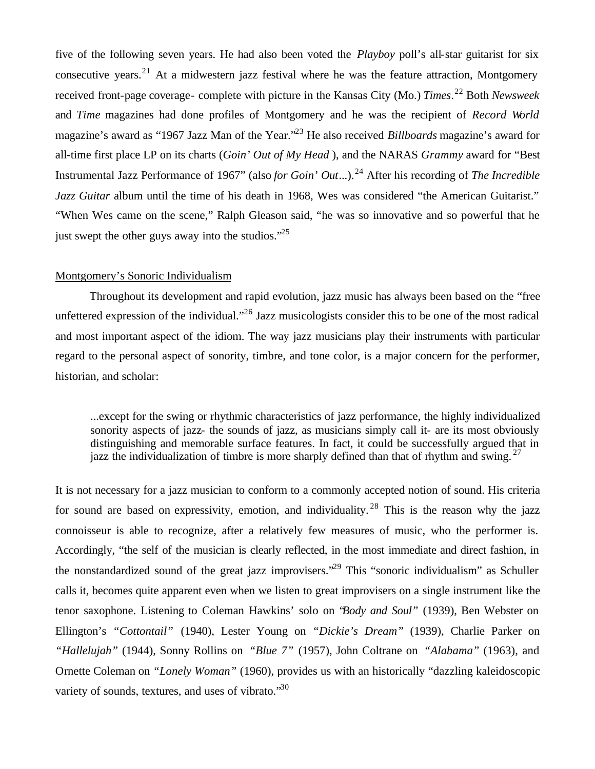five of the following seven years. He had also been voted the *Playboy* poll's all-star guitarist for six consecutive years.<sup>21</sup> At a midwestern jazz festival where he was the feature attraction, Montgomery received front-page coverage- complete with picture in the Kansas City (Mo.) *Times*. <sup>22</sup> Both *Newsweek* and *Time* magazines had done profiles of Montgomery and he was the recipient of *Record World* magazine's award as "1967 Jazz Man of the Year."<sup>23</sup> He also received *Billboards* magazine's award for all-time first place LP on its charts (*Goin' Out of My Head* ), and the NARAS *Grammy* award for "Best Instrumental Jazz Performance of 1967" (also *for Goin' Out...*).<sup>24</sup> After his recording of *The Incredible Jazz Guitar* album until the time of his death in 1968, Wes was considered "the American Guitarist." "When Wes came on the scene," Ralph Gleason said, "he was so innovative and so powerful that he just swept the other guys away into the studios. $^{25}$ 

#### Montgomery's Sonoric Individualism

Throughout its development and rapid evolution, jazz music has always been based on the "free unfettered expression of the individual.<sup>"26</sup> Jazz musicologists consider this to be one of the most radical and most important aspect of the idiom. The way jazz musicians play their instruments with particular regard to the personal aspect of sonority, timbre, and tone color, is a major concern for the performer, historian, and scholar:

...except for the swing or rhythmic characteristics of jazz performance, the highly individualized sonority aspects of jazz- the sounds of jazz, as musicians simply call it- are its most obviously distinguishing and memorable surface features. In fact, it could be successfully argued that in jazz the individualization of timbre is more sharply defined than that of rhythm and swing.  $27$ 

It is not necessary for a jazz musician to conform to a commonly accepted notion of sound. His criteria for sound are based on expressivity, emotion, and individuality. <sup>28</sup> This is the reason why the jazz connoisseur is able to recognize, after a relatively few measures of music, who the performer is. Accordingly, "the self of the musician is clearly reflected, in the most immediate and direct fashion, in the nonstandardized sound of the great jazz improvisers."<sup>29</sup> This "sonoric individualism" as Schuller calls it, becomes quite apparent even when we listen to great improvisers on a single instrument like the tenor saxophone. Listening to Coleman Hawkins' solo on "*Body and Soul"* (1939), Ben Webster on Ellington's *"Cottontail"* (1940), Lester Young on *"Dickie's Dream"* (1939), Charlie Parker on *"Hallelujah"* (1944), Sonny Rollins on *"Blue 7"* (1957), John Coltrane on *"Alabama"* (1963), and Ornette Coleman on *"Lonely Woman"* (1960), provides us with an historically "dazzling kaleidoscopic variety of sounds, textures, and uses of vibrato. $\cdot^{30}$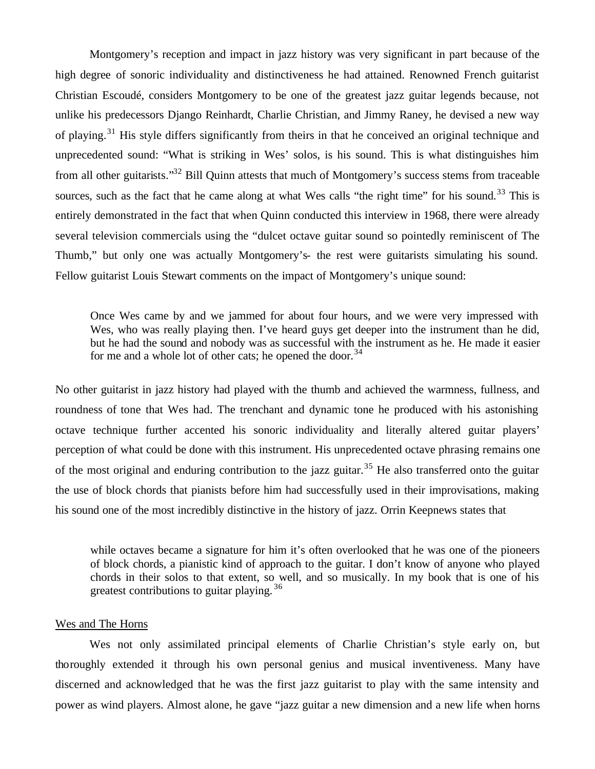Montgomery's reception and impact in jazz history was very significant in part because of the high degree of sonoric individuality and distinctiveness he had attained. Renowned French guitarist Christian Escoudé, considers Montgomery to be one of the greatest jazz guitar legends because, not unlike his predecessors Django Reinhardt, Charlie Christian, and Jimmy Raney, he devised a new way of playing.<sup>31</sup> His style differs significantly from theirs in that he conceived an original technique and unprecedented sound: "What is striking in Wes' solos, is his sound. This is what distinguishes him from all other guitarists."<sup>32</sup> Bill Quinn attests that much of Montgomery's success stems from traceable sources, such as the fact that he came along at what Wes calls "the right time" for his sound.<sup>33</sup> This is entirely demonstrated in the fact that when Quinn conducted this interview in 1968, there were already several television commercials using the "dulcet octave guitar sound so pointedly reminiscent of The Thumb," but only one was actually Montgomery's- the rest were guitarists simulating his sound. Fellow guitarist Louis Stewart comments on the impact of Montgomery's unique sound:

Once Wes came by and we jammed for about four hours, and we were very impressed with Wes, who was really playing then. I've heard guys get deeper into the instrument than he did, but he had the sound and nobody was as successful with the instrument as he. He made it easier for me and a whole lot of other cats; he opened the door.<sup>34</sup>

No other guitarist in jazz history had played with the thumb and achieved the warmness, fullness, and roundness of tone that Wes had. The trenchant and dynamic tone he produced with his astonishing octave technique further accented his sonoric individuality and literally altered guitar players' perception of what could be done with this instrument. His unprecedented octave phrasing remains one of the most original and enduring contribution to the jazz guitar.<sup>35</sup> He also transferred onto the guitar the use of block chords that pianists before him had successfully used in their improvisations, making his sound one of the most incredibly distinctive in the history of jazz. Orrin Keepnews states that

while octaves became a signature for him it's often overlooked that he was one of the pioneers of block chords, a pianistic kind of approach to the guitar. I don't know of anyone who played chords in their solos to that extent, so well, and so musically. In my book that is one of his greatest contributions to guitar playing.<sup>36</sup>

## Wes and The Horns

Wes not only assimilated principal elements of Charlie Christian's style early on, but thoroughly extended it through his own personal genius and musical inventiveness. Many have discerned and acknowledged that he was the first jazz guitarist to play with the same intensity and power as wind players. Almost alone, he gave "jazz guitar a new dimension and a new life when horns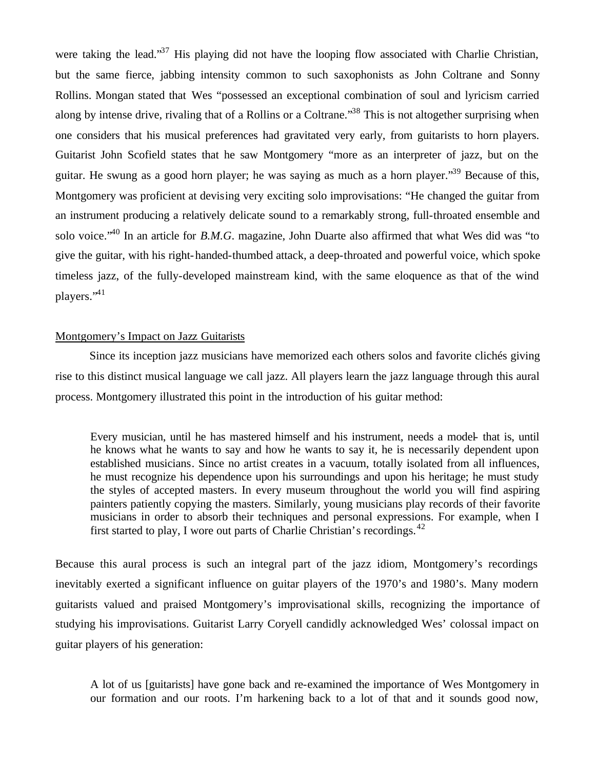were taking the lead."<sup>37</sup> His playing did not have the looping flow associated with Charlie Christian, but the same fierce, jabbing intensity common to such saxophonists as John Coltrane and Sonny Rollins. Mongan stated that Wes "possessed an exceptional combination of soul and lyricism carried along by intense drive, rivaling that of a Rollins or a Coltrane.<sup>38</sup> This is not altogether surprising when one considers that his musical preferences had gravitated very early, from guitarists to horn players. Guitarist John Scofield states that he saw Montgomery "more as an interpreter of jazz, but on the guitar. He swung as a good horn player; he was saying as much as a horn player."<sup>39</sup> Because of this, Montgomery was proficient at devising very exciting solo improvisations: "He changed the guitar from an instrument producing a relatively delicate sound to a remarkably strong, full-throated ensemble and solo voice."<sup>40</sup> In an article for *B.M.G*. magazine, John Duarte also affirmed that what Wes did was "to give the guitar, with his right-handed-thumbed attack, a deep-throated and powerful voice, which spoke timeless jazz, of the fully-developed mainstream kind, with the same eloquence as that of the wind players."<sup>41</sup>

# Montgomery's Impact on Jazz Guitarists

Since its inception jazz musicians have memorized each others solos and favorite clichés giving rise to this distinct musical language we call jazz. All players learn the jazz language through this aural process. Montgomery illustrated this point in the introduction of his guitar method:

Every musician, until he has mastered himself and his instrument, needs a model- that is, until he knows what he wants to say and how he wants to say it, he is necessarily dependent upon established musicians. Since no artist creates in a vacuum, totally isolated from all influences, he must recognize his dependence upon his surroundings and upon his heritage; he must study the styles of accepted masters. In every museum throughout the world you will find aspiring painters patiently copying the masters. Similarly, young musicians play records of their favorite musicians in order to absorb their techniques and personal expressions. For example, when I first started to play, I wore out parts of Charlie Christian's recordings.  $42$ 

Because this aural process is such an integral part of the jazz idiom, Montgomery's recordings inevitably exerted a significant influence on guitar players of the 1970's and 1980's. Many modern guitarists valued and praised Montgomery's improvisational skills, recognizing the importance of studying his improvisations. Guitarist Larry Coryell candidly acknowledged Wes' colossal impact on guitar players of his generation:

A lot of us [guitarists] have gone back and re-examined the importance of Wes Montgomery in our formation and our roots. I'm harkening back to a lot of that and it sounds good now,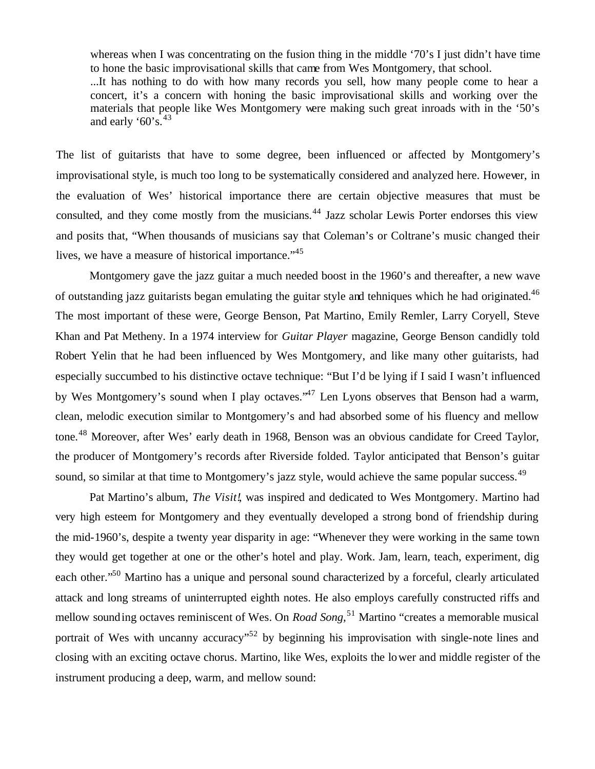whereas when I was concentrating on the fusion thing in the middle '70's I just didn't have time to hone the basic improvisational skills that came from Wes Montgomery, that school. ...It has nothing to do with how many records you sell, how many people come to hear a concert, it's a concern with honing the basic improvisational skills and working over the materials that people like Wes Montgomery were making such great inroads with in the '50's and early '60's. $43$ 

The list of guitarists that have to some degree, been influenced or affected by Montgomery's improvisational style, is much too long to be systematically considered and analyzed here. However, in the evaluation of Wes' historical importance there are certain objective measures that must be consulted, and they come mostly from the musicians.<sup>44</sup> Jazz scholar Lewis Porter endorses this view and posits that, "When thousands of musicians say that Coleman's or Coltrane's music changed their lives, we have a measure of historical importance."<sup>45</sup>

Montgomery gave the jazz guitar a much needed boost in the 1960's and thereafter, a new wave of outstanding jazz guitarists began emulating the guitar style and tehniques which he had originated.<sup>46</sup> The most important of these were, George Benson, Pat Martino, Emily Remler, Larry Coryell, Steve Khan and Pat Metheny. In a 1974 interview for *Guitar Player* magazine, George Benson candidly told Robert Yelin that he had been influenced by Wes Montgomery, and like many other guitarists, had especially succumbed to his distinctive octave technique: "But I'd be lying if I said I wasn't influenced by Wes Montgomery's sound when I play octaves.<sup>47</sup> Len Lyons observes that Benson had a warm, clean, melodic execution similar to Montgomery's and had absorbed some of his fluency and mellow tone.<sup>48</sup> Moreover, after Wes' early death in 1968, Benson was an obvious candidate for Creed Taylor, the producer of Montgomery's records after Riverside folded. Taylor anticipated that Benson's guitar sound, so similar at that time to Montgomery's jazz style, would achieve the same popular success.<sup>49</sup>

Pat Martino's album, *The Visit!*, was inspired and dedicated to Wes Montgomery. Martino had very high esteem for Montgomery and they eventually developed a strong bond of friendship during the mid-1960's, despite a twenty year disparity in age: "Whenever they were working in the same town they would get together at one or the other's hotel and play. Work. Jam, learn, teach, experiment, dig each other."<sup>50</sup> Martino has a unique and personal sound characterized by a forceful, clearly articulated attack and long streams of uninterrupted eighth notes. He also employs carefully constructed riffs and mellow sounding octaves reminiscent of Wes. On *Road Song*,<sup>51</sup> Martino "creates a memorable musical portrait of Wes with uncanny accuracy<sup> $52$ </sup> by beginning his improvisation with single-note lines and closing with an exciting octave chorus. Martino, like Wes, exploits the lower and middle register of the instrument producing a deep, warm, and mellow sound: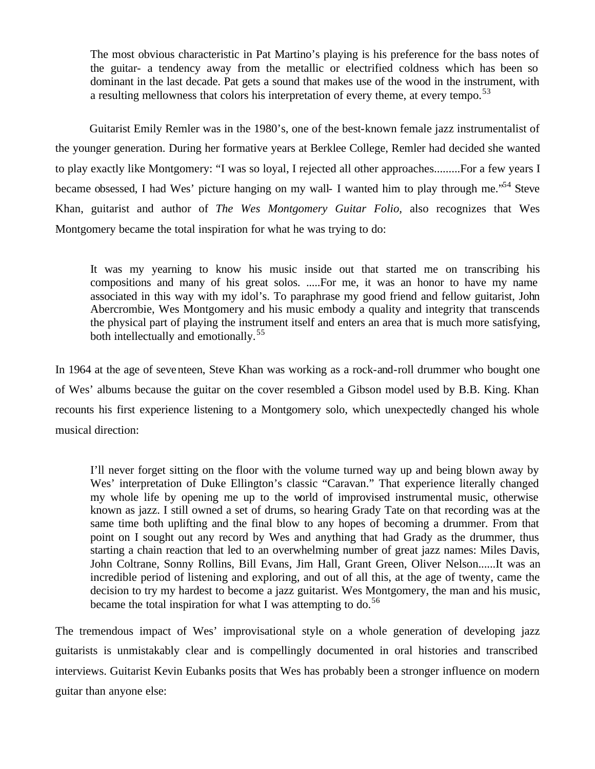The most obvious characteristic in Pat Martino's playing is his preference for the bass notes of the guitar- a tendency away from the metallic or electrified coldness which has been so dominant in the last decade. Pat gets a sound that makes use of the wood in the instrument, with a resulting mellowness that colors his interpretation of every theme, at every tempo.<sup>53</sup>

Guitarist Emily Remler was in the 1980's, one of the best-known female jazz instrumentalist of the younger generation. During her formative years at Berklee College, Remler had decided she wanted to play exactly like Montgomery: "I was so loyal, I rejected all other approaches.........For a few years I became obsessed, I had Wes' picture hanging on my wall- I wanted him to play through me.<sup>554</sup> Steve Khan, guitarist and author of *The Wes Montgomery Guitar Folio,* also recognizes that Wes Montgomery became the total inspiration for what he was trying to do:

It was my yearning to know his music inside out that started me on transcribing his compositions and many of his great solos. .....For me, it was an honor to have my name associated in this way with my idol's. To paraphrase my good friend and fellow guitarist, John Abercrombie, Wes Montgomery and his music embody a quality and integrity that transcends the physical part of playing the instrument itself and enters an area that is much more satisfying, both intellectually and emotionally.<sup>55</sup>

In 1964 at the age of seventeen, Steve Khan was working as a rock-and-roll drummer who bought one of Wes' albums because the guitar on the cover resembled a Gibson model used by B.B. King. Khan recounts his first experience listening to a Montgomery solo, which unexpectedly changed his whole musical direction:

I'll never forget sitting on the floor with the volume turned way up and being blown away by Wes' interpretation of Duke Ellington's classic "Caravan." That experience literally changed my whole life by opening me up to the world of improvised instrumental music, otherwise known as jazz. I still owned a set of drums, so hearing Grady Tate on that recording was at the same time both uplifting and the final blow to any hopes of becoming a drummer. From that point on I sought out any record by Wes and anything that had Grady as the drummer, thus starting a chain reaction that led to an overwhelming number of great jazz names: Miles Davis, John Coltrane, Sonny Rollins, Bill Evans, Jim Hall, Grant Green, Oliver Nelson......It was an incredible period of listening and exploring, and out of all this, at the age of twenty, came the decision to try my hardest to become a jazz guitarist. Wes Montgomery, the man and his music, became the total inspiration for what I was attempting to do.<sup>56</sup>

The tremendous impact of Wes' improvisational style on a whole generation of developing jazz guitarists is unmistakably clear and is compellingly documented in oral histories and transcribed interviews. Guitarist Kevin Eubanks posits that Wes has probably been a stronger influence on modern guitar than anyone else: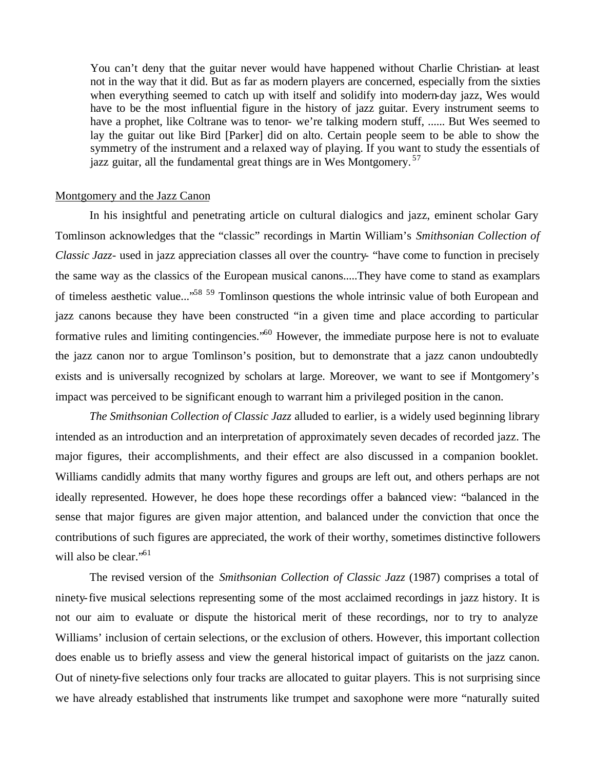You can't deny that the guitar never would have happened without Charlie Christian- at least not in the way that it did. But as far as modern players are concerned, especially from the sixties when everything seemed to catch up with itself and solidify into modern-day jazz, Wes would have to be the most influential figure in the history of jazz guitar. Every instrument seems to have a prophet, like Coltrane was to tenor- we're talking modern stuff, ...... But Wes seemed to lay the guitar out like Bird [Parker] did on alto. Certain people seem to be able to show the symmetry of the instrument and a relaxed way of playing. If you want to study the essentials of jazz guitar, all the fundamental great things are in Wes Montgomery.<sup>57</sup>

## Montgomery and the Jazz Canon

In his insightful and penetrating article on cultural dialogics and jazz, eminent scholar Gary Tomlinson acknowledges that the "classic" recordings in Martin William's *Smithsonian Collection of Classic Jazz*- used in jazz appreciation classes all over the country- "have come to function in precisely the same way as the classics of the European musical canons.....They have come to stand as examplars of timeless aesthetic value..."<sup>58</sup> <sup>59</sup> Tomlinson questions the whole intrinsic value of both European and jazz canons because they have been constructed "in a given time and place according to particular formative rules and limiting contingencies."<sup>60</sup> However, the immediate purpose here is not to evaluate the jazz canon nor to argue Tomlinson's position, but to demonstrate that a jazz canon undoubtedly exists and is universally recognized by scholars at large. Moreover, we want to see if Montgomery's impact was perceived to be significant enough to warrant him a privileged position in the canon.

*The Smithsonian Collection of Classic Jazz* alluded to earlier, is a widely used beginning library intended as an introduction and an interpretation of approximately seven decades of recorded jazz. The major figures, their accomplishments, and their effect are also discussed in a companion booklet. Williams candidly admits that many worthy figures and groups are left out, and others perhaps are not ideally represented. However, he does hope these recordings offer a balanced view: "balanced in the sense that major figures are given major attention, and balanced under the conviction that once the contributions of such figures are appreciated, the work of their worthy, sometimes distinctive followers will also be clear."<sup>61</sup>

The revised version of the *Smithsonian Collection of Classic Jazz* (1987) comprises a total of ninety-five musical selections representing some of the most acclaimed recordings in jazz history. It is not our aim to evaluate or dispute the historical merit of these recordings, nor to try to analyze Williams' inclusion of certain selections, or the exclusion of others. However, this important collection does enable us to briefly assess and view the general historical impact of guitarists on the jazz canon. Out of ninety-five selections only four tracks are allocated to guitar players. This is not surprising since we have already established that instruments like trumpet and saxophone were more "naturally suited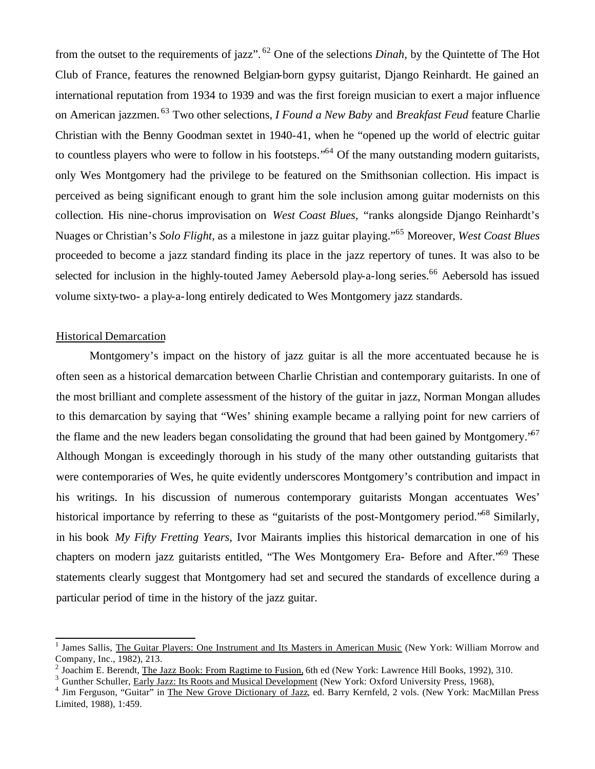from the outset to the requirements of jazz". <sup>62</sup> One of the selections *Dinah,* by the Quintette of The Hot Club of France, features the renowned Belgian-born gypsy guitarist, Django Reinhardt. He gained an international reputation from 1934 to 1939 and was the first foreign musician to exert a major influence on American jazzmen. <sup>63</sup> Two other selections, *I Found a New Baby* and *Breakfast Feud* feature Charlie Christian with the Benny Goodman sextet in 1940-41, when he "opened up the world of electric guitar to countless players who were to follow in his footsteps."<sup>64</sup> Of the many outstanding modern guitarists, only Wes Montgomery had the privilege to be featured on the Smithsonian collection. His impact is perceived as being significant enough to grant him the sole inclusion among guitar modernists on this collection. His nine-chorus improvisation on *West Coast Blues,* "ranks alongside Django Reinhardt's Nuages or Christian's *Solo Flight,* as a milestone in jazz guitar playing."<sup>65</sup> Moreover, *West Coast Blues* proceeded to become a jazz standard finding its place in the jazz repertory of tunes. It was also to be selected for inclusion in the highly-touted Jamey Aebersold play-a-long series.<sup>66</sup> Aebersold has issued volume sixty-two- a play-a-long entirely dedicated to Wes Montgomery jazz standards.

# Historical Demarcation

Montgomery's impact on the history of jazz guitar is all the more accentuated because he is often seen as a historical demarcation between Charlie Christian and contemporary guitarists. In one of the most brilliant and complete assessment of the history of the guitar in jazz, Norman Mongan alludes to this demarcation by saying that "Wes' shining example became a rallying point for new carriers of the flame and the new leaders began consolidating the ground that had been gained by Montgomery.<sup>567</sup> Although Mongan is exceedingly thorough in his study of the many other outstanding guitarists that were contemporaries of Wes, he quite evidently underscores Montgomery's contribution and impact in his writings. In his discussion of numerous contemporary guitarists Mongan accentuates Wes' historical importance by referring to these as "guitarists of the post-Montgomery period."<sup>68</sup> Similarly, in his book *My Fifty Fretting Years*, Ivor Mairants implies this historical demarcation in one of his chapters on modern jazz guitarists entitled, "The Wes Montgomery Era- Before and After."<sup>69</sup> These statements clearly suggest that Montgomery had set and secured the standards of excellence during a particular period of time in the history of the jazz guitar.

<sup>&</sup>lt;sup>1</sup> James Sallis, The Guitar Players: One Instrument and Its Masters in American Music (New York: William Morrow and Company, Inc., 1982), 213.

<sup>2</sup> Joachim E. Berendt, The Jazz Book: From Ragtime to Fusion, 6th ed (New York: Lawrence Hill Books, 1992), 310.

<sup>&</sup>lt;sup>3</sup> Gunther Schuller, Early Jazz: Its Roots and Musical Development (New York: Oxford University Press, 1968),

<sup>&</sup>lt;sup>4</sup> Jim Ferguson, "Guitar" in The New Grove Dictionary of Jazz, ed. Barry Kernfeld, 2 vols. (New York: MacMillan Press Limited, 1988), 1:459.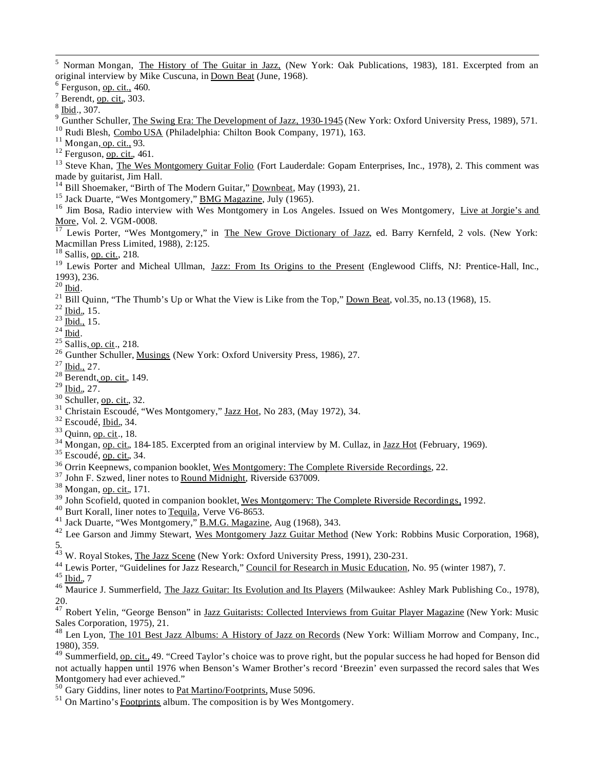<sup>5</sup> Norman Mongan, The History of The Guitar in Jazz, (New York: Oak Publications, 1983), 181. Excerpted from an original interview by Mike Cuscuna, in Down Beat (June, 1968).

 $6$  Ferguson, op. cit., 460.

 $7$  Berendt, op. cit., 303.

 $8 \underline{\text{Ibid}}., 307.$ 

 $9\overline{6}$  Gunther Schuller, The Swing Era: The Development of Jazz, 1930-1945 (New York: Oxford University Press, 1989), 571.

<sup>10</sup> Rudi Blesh, Combo USA (Philadelphia: Chilton Book Company, 1971), 163.

 $11$  Mongan, op. cit., 93.

 $12$  Ferguson, op. cit., 461.

<sup>13</sup> Steve Khan, The Wes Montgomery Guitar Folio (Fort Lauderdale: Gopam Enterprises, Inc., 1978), 2. This comment was made by guitarist, Jim Hall.

<sup>14</sup> Bill Shoemaker, "Birth of The Modern Guitar," <u>Downbeat</u>, May (1993), 21.

<sup>15</sup> Jack Duarte, "Wes Montgomery," **BMG Magazine**, July (1965).

<sup>16</sup> Jim Bosa, Radio interview with Wes Montgomery in Los Angeles. Issued on Wes Montgomery, Live at Jorgie's and More, Vol. 2. VGM-0008.

<sup>17</sup> Lewis Porter, "Wes Montgomery," in The New Grove Dictionary of Jazz, ed. Barry Kernfeld, 2 vols. (New York: Macmillan Press Limited, 1988), 2:125.

 $18$  Sallis, op. cit., 218.

<sup>19</sup> Lewis Porter and Micheal Ullman, Jazz: From Its Origins to the Present (Englewood Cliffs, NJ: Prentice-Hall, Inc., 1993), 236.

 $^{20}$  Ibid.

 $^{21}$  Bill Quinn, "The Thumb's Up or What the View is Like from the Top," Down Beat, vol.35, no.13 (1968), 15.

 $^{22}$  Ibid., 15.

 $^{23}$   $\overline{\text{Ibid.,}}$  15.

 $^{24}$  Ibid.

 $25 \overline{\text{Sallis}, \text{op. cit.}}$ , 218.

<sup>26</sup> Gunther Schuller, Musings (New York: Oxford University Press, 1986), 27.

 $^{27}$  Ibid., 27.

 $28$  Berendt, op. cit., 149.

 $^{29}$  Ibid., 27.

- $30$  Schuller, op. cit., 32.
- <sup>31</sup> Christain Escoudé, "Wes Montgomery," Jazz Hot, No 283, (May 1972), 34.
- <sup>32</sup> Escoudé, Ibid., 34.

 $33$  Ouinn, op. cit., 18.

 $34$  Mongan, op. cit., 184-185. Excerpted from an original interview by M. Cullaz, in Jazz Hot (February, 1969).

 $35$  Escoudé, op. cit., 34.

<sup>36</sup> Orrin Keepnews, companion booklet, Wes Montgomery: The Complete Riverside Recordings, 22.

<sup>37</sup> John F. Szwed, liner notes to Round Midnight, Riverside 637009.

<sup>38</sup> Mongan, <u>op. cit.</u>, 171.

<sup>39</sup> John Scofield, quoted in companion booklet, Wes Montgomery: The Complete Riverside Recordings, 1992.

<sup>40</sup> Burt Korall, liner notes to Tequila, Verve V6-8653.

 $41$  Jack Duarte, "Wes Montgomery," **B.M.G. Magazine**, Aug (1968), 343.

<sup>42</sup> Lee Garson and Jimmy Stewart, Wes Montgomery Jazz Guitar Method (New York: Robbins Music Corporation, 1968), 5.

<sup>43</sup> W. Royal Stokes, The Jazz Scene (New York: Oxford University Press, 1991), 230-231.

<sup>44</sup> Lewis Porter, "Guidelines for Jazz Research," Council for Research in Music Education, No. 95 (winter 1987), 7.  $45$  Ibid., 7

 $^{46}$  Maurice J. Summerfield, The Jazz Guitar: Its Evolution and Its Players (Milwaukee: Ashley Mark Publishing Co., 1978), 20.

<sup>47</sup> Robert Yelin, "George Benson" in Jazz Guitarists: Collected Interviews from Guitar Player Magazine (New York: Music Sales Corporation, 1975), 21.

<sup>48</sup> Len Lyon, The 101 Best Jazz Albums: A History of Jazz on Records (New York: William Morrow and Company, Inc., 1980), 359.

 $\frac{49}{49}$  Summerfield, <u>op. cit.</u>, 49. "Creed Taylor's choice was to prove right, but the popular success he had hoped for Benson did not actually happen until 1976 when Benson's Warner Brother's record 'Breezin' even surpassed the record sales that Wes Montgomery had ever achieved."

<sup>50</sup> Gary Giddins, liner notes to Pat Martino/Footprints, Muse 5096.

 $51$  On Martino's Footprints album. The composition is by Wes Montgomery.